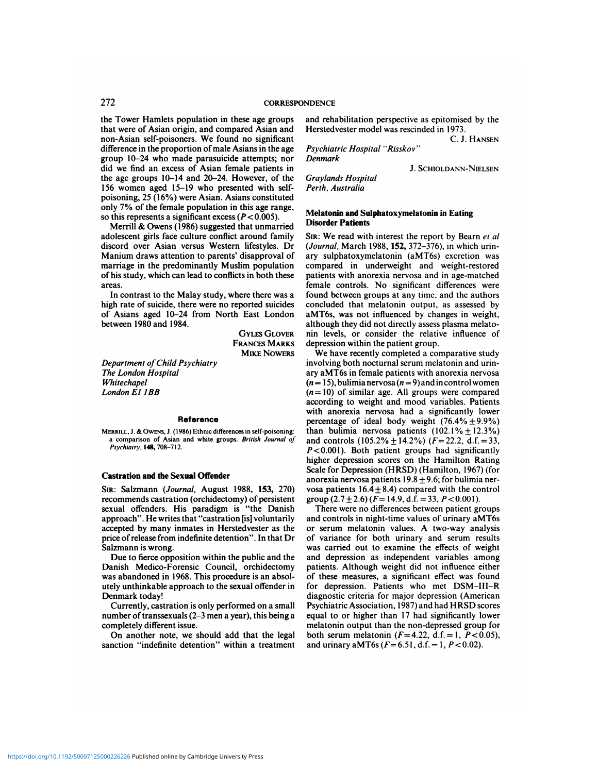# 272 CORRESPONDENCE

272<br>the Tower Hamlets population in these age groups<br>that were of Asian origin, and compared Asian and<br>He CORRESPONDET<br>the Tower Hamlets population in these age groups and<br>that were of Asian origin, and compared Asian and Hers<br>non-Asian self-poisoners. We found no significant 272<br>
core also converse than the converse of Asian origin, and compared Asian and<br>
that were of Asian origin, and compared Asian and<br>
non-Asian self-poisoners. We found no significant<br>
difference in the proportion of male CORRESPONDE<br>the Tower Hamlets population in these age groups and<br>that were of Asian origin, and compared Asian and Her<br>non-Asian self-poisoners. We found no significant<br>difference in the proportion of male Asians in the ag the Tower Hamlets population in these age groups<br>that were of Asian origin, and compared Asian and<br>mon-Asian self-poisoners. We found no significant<br>difference in the proportion of male Asians in the age<br>group 10–24 who ma that were of Asian origin, and compared Asian and Herstedvester model was rescinded in 1973.<br>
non-Asian self-poisoners. We found no significant C. J.<br>
difference in the proportion of male Asians in the age Psychiatric Hosp that were of Asian origin, and compared Asian and<br>non-Asian self-poisoners. We found no significant<br>difference in the proportion of male Asians in the age Psyc<br>group 10–24 who made parasuicide attempts; nor<br>did we find an non-Asian self-poisoners. We found no significant<br>difference in the proportion of male Asians in the age<br>group 10–24 who made parasucide attempts; nor<br>did we find an excess of Asian female patients in<br>the age groups 10–14 group 10–24 who made parasuccide attempts; nor<br>did we find an excess of Asian female patients in<br>the age groups 10–14 and 20–24. However, of the<br>156 women aged 15–19 who presented with self-<br>poisoning, 25 (16%) were Asian did we find an excess of Asian female patients if<br>the age groups 10–14 and 20–24. However, of th<br>156 women aged 15–19 who presented with self<br>poisoning, 25 (16%) were Asian. Asians constitute<br>only 7% of the female populat Example 10–14 and 20–24. However, of the Grando is age groups 10–14 and 20–24. However, of the Grando is the summarrill summarried by 7% of the female population in this age range, this represents a significant excess ( $P$ 156 women aged 15–19 who presented with self-<br>poisoning, 25 (16%) were Asian. Asians constituted<br>only 7% of the female population in this age range,<br>so this represents a significant excess ( $P < 0.005$ ).<br>Merrill & Owens (1

poisoning, 25 (16%) were Asian. Asians constituted<br>only 7% of the female population in this age range,<br>so this represents a significant excess ( $P < 0.005$ ).<br>Merrill & Owens (1986) suggested that unmarried<br>adolescent girls only 7% of the temale population in this age range,<br>so this represents a significant excess ( $P < 0.005$ ).<br>Merrill & Owens (1986) suggested that unmarried<br>adolescent girls face culture conflict around family<br>discord over A so this represents a significant excess ( $P < 0.005$ ).<br>Merrill & Owens (1986) suggested that unmarried<br>adolescent girls face culture conflict around family SIR<br>discord over Asian versus Western lifestyles. Dr (*Jo*<br>Manium Merrill & Owens (1986) suggested that unmarried<br>adolescent girls face culture conflict around family Sines<br>discord over Asian versus Western lifestyles. Dr (Join<br>Manium draws attention to parents' disapproval of ary<br>marria discord over Asian versus Western litestyles. Dr (*Jou*<br>Manium draws attention to parents' disapproval of ary<br>marriage in the predominantly Muslim population com<br>of his study, which can lead to conflicts in both these pati Manium draws attention to parents' disapproval of<br>marriage in the predominantly Muslim population<br>of his study, which can lead to conflicts in both these<br>areas.<br>In contrast to the Malay study, where there was a<br>for<br>high ra

marriage in the predominantly Muslim population<br>
of his study, which can lead to conflicts in both these<br>
areas.<br>
In contrast to the Malay study, where there was a<br>
feming<br>
fight rate of sucide, there were no reported suic of his study, which can lead<br>areas.<br>In contrast to the Malay<br>high rate of suicide, there worder<br>of Asians aged 10–24 fro<br>between 1980 and 1984.

**FRANCES MARKS** 

*Department of Child Psychiatry The London Hospital Whitechapel Department of Child Psy<br>The London Hospital<br>Whitechapel<br>London E1 1BB* 

## Reference

**CALCA CASTRATION CONSERVILL, J. & OWENS, J.** (1986) Ethnic differences in<br>a comparison of Asian and white groups. *Bri*<br>*Psychiatry*, **148**, 708-712.<br>**Castration and the Sexual Offender**<br>SIR: Salzmann (*Journal*, August 1 **MERRILL, J. & OwENS, J. (1986) Ethnic differences in self-poisoning:**<br> **A comparison of Asian and white groups. British Journal of**<br> **a comparison of Asian and white groups. British Journal of**<br> **a chapping:**<br> **a** phychia **Profe**<br> *Psychiatry, 1.48, 708–712.*<br> *Psychiatry, 148, 708–712.* 

a comparison of Asian and white groups. *British Journal of*<br>*P*<br>SiR: Salzmann (Journal, August 1988, 153, 270)<br>recommends castration (orchidectomy) of persistent<br>gradients of the sexual Offender responding two to-the castration and the Sexual Offender<br>SIR: Salzmann (*Journal*, August 1988, 153, 270)<br>recommends castration (orchidectomy) of persistent<br>sexual offenders. His paradigm is "the Danish high<br>
Scale and the Sexual Offender<br>
Sin: Salzmann (*Journal*, August 1988, 153, 270) vosa<br>
recommends castration (orchidectomy) of persistent grou<br>
sexual offenders. His paradigm is "the Danish Tlapproach". He writes that **Castration and the Sexual Offender**<br>
SIR: Salzmann (*Journal*, August 1988, 153, 270) vosa<br>
recommends castration (orchidectomy) of persistent grous<br>
sexual offenders. His paradigm is "the Danish TI<br>
approach". He writes and and the Scalar Sheater<br>SIR: Salzmann (Journal, August 1988, 153, 270) voss<br>recommends castration (orchidectomy) of persistent grove<br>sexual offenders. His paradigm is "the Danish T<br>approach". He writes that "castration SIR: Salzmann (*Journal*, August 1988, 153, 270) vo<br>recommends castration (orchidectomy) of persistent grows<br>sexual offenders. His paradigm is "the Danish<br>approach". He writes that "castration [is] voluntarily an<br>accepted recommends castration<br>sexual offenders. His<br>approach". He writes the<br>accepted by many inn<br>price of release from ine<br>Salzmann is wrong.<br>Due to fierce opposi approach". He writes that "castration [is] voluntarily<br>and accepted by many inmates in Herstedvester as the<br>price of release from indefinite detention". In that Dr<br>of<br>Salzmann is wrong.<br>Due to fierce opposition within the

accepted by many inmates in Herstedvester as the<br>price of release from indefinite detention". In that Dr<br>Salzmann is wrong.<br>Due to fierce opposition within the public and the<br>Danish Medico-Forensic Council, orchidectomy<br>wa price of release from indefinite detention". In that Dr<br>Salzmann is wrong.<br>Due to fierce opposition within the public and the<br>and<br>Danish Medico-Forensic Council, orchidectomy patie<br>was abandoned in 1968. This procedure is Danish Medico-Forensic Council, orchidectomy<br>was abandoned in 1968. This procedure is an absol-<br>utely unthinkable approach to the sexual offender in<br>Denmark today!<br>Currently, castration is only performed on a small<br>number Danish Medico-Forensic Council, orchidectomy patie<br>
was abandoned in 1968. This procedure is an absol-<br>
of the<br>
utely unthinkable approach to the sexual offender in<br>
for<br>
Denmark today!<br>
Currently, castration is only perfo

was abandoned in 1968. This<br>utely unthinkable approach to<br>Denmark today!<br>Currently, castration is only<br>number of transsexuals (2–3 n<br>completely different issue.<br>On another note, we shou Example 19 unthinkable approach to the sexual offender in<br>
the sexual offender in<br>
Currently, castration is only performed on a small<br>
The profit can be a small series of transsexuals (2–3 men a year), this being a<br>
emplet

completely different issue.<br>On another note, we should add that the legal<br>sanction "indefinite detention" within a treatment

NDENCE<br>and rehabilitation perspective as epitomised by the<br>Herstedvester model was rescinded in 1973. NDENCE<br>
and rehabilitation perspective as epitomised b<br>
Herstedvester model was rescinded in 1973.<br>
C. J. Ha mised by the<br>973.<br>C. J. Hansen **PRICE<br>
Propertive and rehabilitation perspective as epitomic<br>
Herstedvester model was rescinded in 197<br>** *Psychiatric Hospital "Risskov"***<br>** *Penmark***<br>** *Psychiatric Hospital "Risskov"* We as epitomised by the<br>cinded in 1973.<br>C. J. Hansen<br>W''<br>J. Schioldann-Nielsen

*Graylands Hospital Perth, Australia*

**Disorder Patients** 

*Denmark*

**Melatonin and Sulphatoxymelatonin in Eating** 

GYLES GLOVER nin levels, or consider the relatively next depression within the patient group. Perth, Australia<br>Melatonin and Sulphatoxymelatonin in Eating<br>Disorder Patients<br>SIR: We read with interest the report by Bearn et al<br>(Journal, March 1988, 152, 372–376), in which urin-*Melatonin and Sulphatoxymelatonin in Eating*<br>*Disorder Patients*<br>*(Journal, March 1988, 152, 372–376), in which urinary sulphatoxymelatonin (aMT6s) excretion was*<br>compared in underweight and weight-restored<br>patients with SIR: We read with interest the report by Bearn *et al*<br>(*Journal*, March 1988, 152, 372–376), in which urin-<br>ary sulphatoxymelatonin (aMT6s) excretion was<br>compared in underweight and weight-restored<br>patients with anorexia SIR: We read with interest the report by Bearn *et al*<br>(*Journal*, March 1988, **152**, 372–376), in which urin-<br>ary sulphatoxymelatonin (aMT6s) excretion was<br>compared in underweight and weight-restored<br>patients with anorex (*Journal*, March 1988, 152,  $3/2-3/6$ ), in which urin-<br>ary sulphatoxymelatonin (aMT6s) excretion was<br>compared in underweight and weight-restored<br>patients with anorexia nervosa and in age-matched<br>female controls. No signi ary sulphatoxymelatonin (aM16s) excretion was<br>compared in underweight and weight-restored<br>patients with anorexia nervosa and in age-matched<br>female controls. No significant differences were<br>found between groups at any time, compared in underweight and weight-restored<br>patients with anorexia nervosa and in age-matched<br>female controls. No significant differences were<br>found between groups at any time, and the authors<br>concluded that melatonin outp compared in underweight and weight-restored<br>patients with anorexia nervosa and in age-matched<br>female controls. No significant differences were<br>found between groups at any time, and the authors<br>concluded that melatonin outp concluded that melatonin output, as assessed by<br>aMT6s, was not influenced by changes in weight,<br>although they did not directly assess plasma melato-<br>nin levels, or consider the relative influence of<br>depression within the p ncluded that melatonin output, as assessed by<br>dT6s, was not influenced by changes in weight,<br>hough they did not directly assess plasma melato-<br>n levels, or consider the relative influence of<br>pression within the patient gro

MIKE NOWERS We have recently completed a comparative study aMT6s, was not influenced by changes in weight,<br>although they did not directly assess plasma melato-<br>nin levels, or consider the relative influence of<br>depression within the patient group.<br>We have recently completed a compa nin levels, or consider the relative influence of<br>depression within the patient group.<br>We have recently completed a comparative study<br>involving both nocturnal serum melatonin and urin-<br>ary aMT6s in female patients with an depression within the patient group.<br>
We have recently completed a comparative study<br>
involving both nocturnal serum melatonin and urin-<br>
ary aMT6s in female patients with anorexia nervosa<br>  $(n=15)$ , bulimia nervosa  $(n=9)$ We have recently completed a comparative study<br>involving both nocturnal serum melatonin and urin-<br>ary aMT6s in female patients with anorexia nervosa<br> $(n=15)$ , bulimia nervosa  $(n=9)$  and in control women<br> $(n=10)$  of similar involving both nocturnal serum melatonin and urin-<br>ary aMT6s in female patients with anorexia nervosa<br> $(n=15)$ , bulimia nervosa  $(n=9)$  and incontrol women<br> $(n=10)$  of similar age. All groups were compared<br>according to weigh ary aMT6s in female patients with anorexia nervosa<br>( $n=15$ ), bulimia nervosa ( $n=9$ ) and incontrol women<br>( $n=10$ ) of similar age. All groups were compared<br>according to weight and mood variables. Patients<br>with anorexia ner ( $n=10$ ) of similar age. All groups were compared<br>according to weight and mood variables. Patients<br>with anorexia nervosa had a significantly lower<br>percentage of ideal body weight (76.4% ±9.9%)<br>than bulimia nervosa patient ( $n=10$ ) of similar age. All groups were compared<br>according to weight and mood variables. Patients<br>with anorexia nervosa had a significantly lower<br>percentage of ideal body weight (76.4% $\pm$ 9.9%)<br>than bulimia nervosa patie according to weight and mood variables. Patients<br>with anorexia nervosa had a significantly lower<br>percentage of ideal body weight (76.4% + 9.9%)<br>than bulimia nervosa patients (102.1% + 12.3%)<br>and controls (105.2% + 14.2%) with anorexia nervosa had a significantly lower<br>percentage of ideal body weight  $(76.4\% \pm 9.9\%)$ <br>than bulimia nervosa patients  $(102.1\% \pm 12.3\%)$ <br>and controls  $(105.2\% \pm 14.2\%)$   $(F=22.2, d.f.=33,$ <br> $P<0.001$ ). Both patient percentage of ideal body weight  $(76.4\% \pm 9.9\%)$ <br>than bulimia nervosa patients  $(102.1\% \pm 12.3\%)$ <br>and controls  $(105.2\% \pm 14.2\%)$   $(F=22.2, d.f. = 33, P<0.001)$ . Both patient groups had significantly<br>higher depression score  $P$ <0.001). Both patient groups had significan<br>higher depression scores on the Hamilton Rati<br>Scale for Depression (HRSD) (Hamilton, 1967) (f<br>anorexia nervosa patients  $19.8 \pm 9.6$ ; for bulimia no<br>vosa patients  $16.4 \pm 8.4$ ale for Depression (HRSD) (Hamilton, 1967) (for<br>orexia nervosa patients  $19.8 \pm 9.6$ ; for bulimia ner-<br>sa patients  $16.4 \pm 8.4$ ) compared with the control<br>oup  $(2.7 \pm 2.6)$  ( $F = 14.9$ , d.f. = 33,  $P < 0.001$ ).<br>There were n Scale for Depression (HRSD) (Hamilton, 1967) (for<br>anorexia nervosa patients  $19.8 \pm 9.6$ ; for bulimia ner-<br>vosa patients  $16.4 \pm 8.4$ ) compared with the control<br>group  $(2.7 \pm 2.6)$   $(F = 14.9, d.f. = 33, P < 0.001)$ .<br>There were

sexual offenders. His paradigm is "the Danish There were no differences between patient groups<br>approach". He writes that "castration [is] voluntarily and controls in night-time values of urinary aMT6s<br>accepted by many inma anorexia nervosa patients  $19.8 \pm 9.6$ ; for bulimia ner-<br>vosa patients  $16.4 \pm 8.4$ ) compared with the control<br>group  $(2.7 \pm 2.6)$   $(F = 14.9, d.f. = 33, P < 0.001)$ .<br>There were no differences between patient groups<br>and controls vosa patients  $16.4 \pm 8.4$ ) compared with the control<br>group  $(2.7 \pm 2.6)$   $(F = 14.9, d.f. = 33, P < 0.001)$ .<br>There were no differences between patient groups<br>and controls in night-time values of urinary aMT6s<br>or serum melatonin and controls in night-time values of urinary aMT6s<br>or serum melatonin values. A two-way analysis<br>of variance for both urinary and serum results<br>was carried out to examine the effects of weight<br>and depression as independent or serum melatonin values. A two-way analysis<br>of variance for both urinary and serum results<br>was carried out to examine the effects of weight<br>and depression as independent variables among<br>patients. Although weight did not of variance for both urinary and serum results<br>was carried out to examine the effects of weight<br>and depression as independent variables among<br>patients. Although weight did not influence either<br>of these measures, a signific was carried out to examine the effects of weight<br>and depression as independent variables among<br>patients. Although weight did not influence either<br>of these measures, a significant effect was found<br>for depression. Patients w of these measures, a significant effect was found<br>for depression. Patients who met DSM-III-R<br>diagnostic criteria for major depression (American<br>Psychiatric Association, 1987) and had HRSD scores<br>equal to or higher than 17 for depression. Patients who met DSM-III-R<br>diagnostic criteria for major depression (American<br>Psychiatric Association, 1987) and had HRSD scores<br>equal to or higher than 17 had significantly lower<br>melatonin output than the Psychiatric Association, 1987) and had HRSD scores<br>equal to or higher than 17 had significantly lower<br>melatonin output than the non-depressed group for<br>both serum melatonin  $(F=4.22, d.f. = 1, P < 0.05)$ ,<br>and urinary aMT6s  $(F=6$